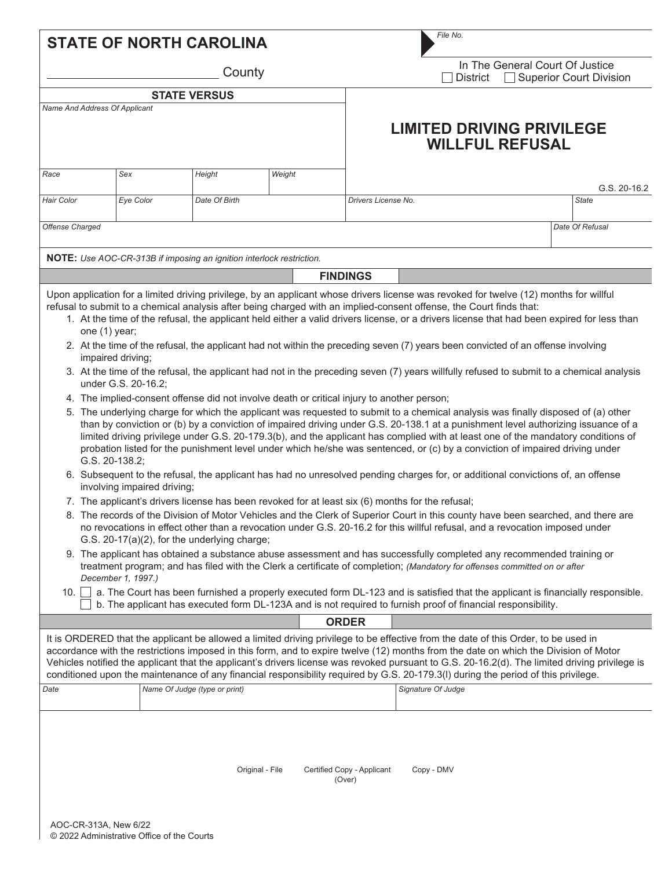|                                                                                                                                                                                                                                                                                                                                                                                                                                                                                                                                                                                                                                                                                                                                                                                                                                                                                                                                                                                                                                                                                                                                                                                                                                                                                                                                                                                                                                                                                                                                                                                                                                                                                                                                                                                                                                                                                                                                                                                                                                                                                                                                                                                                                                                                                                                                                                                                                                                                                                                                                        |           | <b>STATE OF NORTH CAROLINA</b>                                       |        |                                      | File No.                                                                                                                                                                                                                                                                                                                                                                                                                                                                                                                                                           |                 |  |  |  |
|--------------------------------------------------------------------------------------------------------------------------------------------------------------------------------------------------------------------------------------------------------------------------------------------------------------------------------------------------------------------------------------------------------------------------------------------------------------------------------------------------------------------------------------------------------------------------------------------------------------------------------------------------------------------------------------------------------------------------------------------------------------------------------------------------------------------------------------------------------------------------------------------------------------------------------------------------------------------------------------------------------------------------------------------------------------------------------------------------------------------------------------------------------------------------------------------------------------------------------------------------------------------------------------------------------------------------------------------------------------------------------------------------------------------------------------------------------------------------------------------------------------------------------------------------------------------------------------------------------------------------------------------------------------------------------------------------------------------------------------------------------------------------------------------------------------------------------------------------------------------------------------------------------------------------------------------------------------------------------------------------------------------------------------------------------------------------------------------------------------------------------------------------------------------------------------------------------------------------------------------------------------------------------------------------------------------------------------------------------------------------------------------------------------------------------------------------------------------------------------------------------------------------------------------------------|-----------|----------------------------------------------------------------------|--------|--------------------------------------|--------------------------------------------------------------------------------------------------------------------------------------------------------------------------------------------------------------------------------------------------------------------------------------------------------------------------------------------------------------------------------------------------------------------------------------------------------------------------------------------------------------------------------------------------------------------|-----------------|--|--|--|
|                                                                                                                                                                                                                                                                                                                                                                                                                                                                                                                                                                                                                                                                                                                                                                                                                                                                                                                                                                                                                                                                                                                                                                                                                                                                                                                                                                                                                                                                                                                                                                                                                                                                                                                                                                                                                                                                                                                                                                                                                                                                                                                                                                                                                                                                                                                                                                                                                                                                                                                                                        |           | County                                                               |        |                                      | In The General Court Of Justice<br><b>Superior Court Division</b><br><b>District</b><br>$\mathbf{I}$                                                                                                                                                                                                                                                                                                                                                                                                                                                               |                 |  |  |  |
|                                                                                                                                                                                                                                                                                                                                                                                                                                                                                                                                                                                                                                                                                                                                                                                                                                                                                                                                                                                                                                                                                                                                                                                                                                                                                                                                                                                                                                                                                                                                                                                                                                                                                                                                                                                                                                                                                                                                                                                                                                                                                                                                                                                                                                                                                                                                                                                                                                                                                                                                                        |           | <b>STATE VERSUS</b>                                                  |        |                                      |                                                                                                                                                                                                                                                                                                                                                                                                                                                                                                                                                                    |                 |  |  |  |
| Name And Address Of Applicant                                                                                                                                                                                                                                                                                                                                                                                                                                                                                                                                                                                                                                                                                                                                                                                                                                                                                                                                                                                                                                                                                                                                                                                                                                                                                                                                                                                                                                                                                                                                                                                                                                                                                                                                                                                                                                                                                                                                                                                                                                                                                                                                                                                                                                                                                                                                                                                                                                                                                                                          |           |                                                                      |        |                                      | <b>LIMITED DRIVING PRIVILEGE</b><br><b>WILLFUL REFUSAL</b>                                                                                                                                                                                                                                                                                                                                                                                                                                                                                                         |                 |  |  |  |
| Race                                                                                                                                                                                                                                                                                                                                                                                                                                                                                                                                                                                                                                                                                                                                                                                                                                                                                                                                                                                                                                                                                                                                                                                                                                                                                                                                                                                                                                                                                                                                                                                                                                                                                                                                                                                                                                                                                                                                                                                                                                                                                                                                                                                                                                                                                                                                                                                                                                                                                                                                                   | Sex       | Height                                                               | Weight |                                      |                                                                                                                                                                                                                                                                                                                                                                                                                                                                                                                                                                    | G.S. 20-16.2    |  |  |  |
| <b>Hair Color</b>                                                                                                                                                                                                                                                                                                                                                                                                                                                                                                                                                                                                                                                                                                                                                                                                                                                                                                                                                                                                                                                                                                                                                                                                                                                                                                                                                                                                                                                                                                                                                                                                                                                                                                                                                                                                                                                                                                                                                                                                                                                                                                                                                                                                                                                                                                                                                                                                                                                                                                                                      | Eye Color | Date Of Birth                                                        |        | Drivers License No.                  |                                                                                                                                                                                                                                                                                                                                                                                                                                                                                                                                                                    | <b>State</b>    |  |  |  |
| Offense Charged                                                                                                                                                                                                                                                                                                                                                                                                                                                                                                                                                                                                                                                                                                                                                                                                                                                                                                                                                                                                                                                                                                                                                                                                                                                                                                                                                                                                                                                                                                                                                                                                                                                                                                                                                                                                                                                                                                                                                                                                                                                                                                                                                                                                                                                                                                                                                                                                                                                                                                                                        |           |                                                                      |        |                                      |                                                                                                                                                                                                                                                                                                                                                                                                                                                                                                                                                                    | Date Of Refusal |  |  |  |
|                                                                                                                                                                                                                                                                                                                                                                                                                                                                                                                                                                                                                                                                                                                                                                                                                                                                                                                                                                                                                                                                                                                                                                                                                                                                                                                                                                                                                                                                                                                                                                                                                                                                                                                                                                                                                                                                                                                                                                                                                                                                                                                                                                                                                                                                                                                                                                                                                                                                                                                                                        |           | NOTE: Use AOC-CR-313B if imposing an ignition interlock restriction. |        |                                      |                                                                                                                                                                                                                                                                                                                                                                                                                                                                                                                                                                    |                 |  |  |  |
|                                                                                                                                                                                                                                                                                                                                                                                                                                                                                                                                                                                                                                                                                                                                                                                                                                                                                                                                                                                                                                                                                                                                                                                                                                                                                                                                                                                                                                                                                                                                                                                                                                                                                                                                                                                                                                                                                                                                                                                                                                                                                                                                                                                                                                                                                                                                                                                                                                                                                                                                                        |           |                                                                      |        | <b>FINDINGS</b>                      |                                                                                                                                                                                                                                                                                                                                                                                                                                                                                                                                                                    |                 |  |  |  |
| Upon application for a limited driving privilege, by an applicant whose drivers license was revoked for twelve (12) months for willful<br>refusal to submit to a chemical analysis after being charged with an implied-consent offense, the Court finds that:<br>1. At the time of the refusal, the applicant held either a valid drivers license, or a drivers license that had been expired for less than<br>one (1) year;<br>2. At the time of the refusal, the applicant had not within the preceding seven (7) years been convicted of an offense involving<br>impaired driving;<br>3. At the time of the refusal, the applicant had not in the preceding seven (7) years willfully refused to submit to a chemical analysis<br>under G.S. 20-16.2;<br>4. The implied-consent offense did not involve death or critical injury to another person;<br>5. The underlying charge for which the applicant was requested to submit to a chemical analysis was finally disposed of (a) other<br>than by conviction or (b) by a conviction of impaired driving under G.S. 20-138.1 at a punishment level authorizing issuance of a<br>limited driving privilege under G.S. 20-179.3(b), and the applicant has complied with at least one of the mandatory conditions of<br>probation listed for the punishment level under which he/she was sentenced, or (c) by a conviction of impaired driving under<br>G.S. 20-138.2;<br>6. Subsequent to the refusal, the applicant has had no unresolved pending charges for, or additional convictions of, an offense<br>involving impaired driving;<br>7. The applicant's drivers license has been revoked for at least six (6) months for the refusal;<br>8. The records of the Division of Motor Vehicles and the Clerk of Superior Court in this county have been searched, and there are<br>no revocations in effect other than a revocation under G.S. 20-16.2 for this willful refusal, and a revocation imposed under<br>G.S. 20-17(a)(2), for the underlying charge;<br>9. The applicant has obtained a substance abuse assessment and has successfully completed any recommended training or<br>treatment program; and has filed with the Clerk a certificate of completion; (Mandatory for offenses committed on or after<br>December 1, 1997.)<br>10. a. The Court has been furnished a properly executed form DL-123 and is satisfied that the applicant is financially responsible.<br>b. The applicant has executed form DL-123A and is not required to furnish proof of financial responsibility. |           |                                                                      |        |                                      |                                                                                                                                                                                                                                                                                                                                                                                                                                                                                                                                                                    |                 |  |  |  |
|                                                                                                                                                                                                                                                                                                                                                                                                                                                                                                                                                                                                                                                                                                                                                                                                                                                                                                                                                                                                                                                                                                                                                                                                                                                                                                                                                                                                                                                                                                                                                                                                                                                                                                                                                                                                                                                                                                                                                                                                                                                                                                                                                                                                                                                                                                                                                                                                                                                                                                                                                        |           |                                                                      |        | <b>ORDER</b>                         |                                                                                                                                                                                                                                                                                                                                                                                                                                                                                                                                                                    |                 |  |  |  |
|                                                                                                                                                                                                                                                                                                                                                                                                                                                                                                                                                                                                                                                                                                                                                                                                                                                                                                                                                                                                                                                                                                                                                                                                                                                                                                                                                                                                                                                                                                                                                                                                                                                                                                                                                                                                                                                                                                                                                                                                                                                                                                                                                                                                                                                                                                                                                                                                                                                                                                                                                        |           |                                                                      |        |                                      | It is ORDERED that the applicant be allowed a limited driving privilege to be effective from the date of this Order, to be used in<br>accordance with the restrictions imposed in this form, and to expire twelve (12) months from the date on which the Division of Motor<br>Vehicles notified the applicant that the applicant's drivers license was revoked pursuant to G.S. 20-16.2(d). The limited driving privilege is<br>conditioned upon the maintenance of any financial responsibility required by G.S. 20-179.3(I) during the period of this privilege. |                 |  |  |  |
| Date                                                                                                                                                                                                                                                                                                                                                                                                                                                                                                                                                                                                                                                                                                                                                                                                                                                                                                                                                                                                                                                                                                                                                                                                                                                                                                                                                                                                                                                                                                                                                                                                                                                                                                                                                                                                                                                                                                                                                                                                                                                                                                                                                                                                                                                                                                                                                                                                                                                                                                                                                   |           | Name Of Judge (type or print)                                        |        |                                      | Signature Of Judge                                                                                                                                                                                                                                                                                                                                                                                                                                                                                                                                                 |                 |  |  |  |
|                                                                                                                                                                                                                                                                                                                                                                                                                                                                                                                                                                                                                                                                                                                                                                                                                                                                                                                                                                                                                                                                                                                                                                                                                                                                                                                                                                                                                                                                                                                                                                                                                                                                                                                                                                                                                                                                                                                                                                                                                                                                                                                                                                                                                                                                                                                                                                                                                                                                                                                                                        |           | Original - File                                                      |        | Certified Copy - Applicant<br>(Over) | Copy - DMV                                                                                                                                                                                                                                                                                                                                                                                                                                                                                                                                                         |                 |  |  |  |